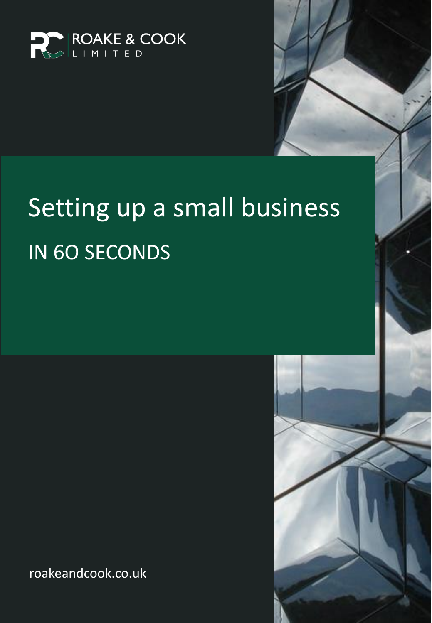

# Setting up a small business IN 6O SECONDS

roakeandcook.co.uk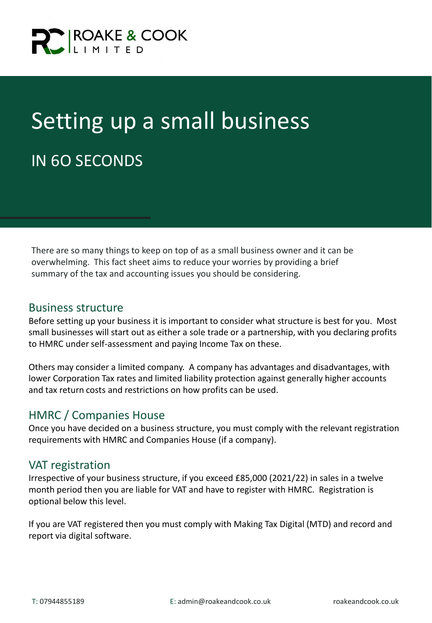

## Setting up a small business IN 6O SECONDS

There are so many things to keep on top of as a small business owner and it can be overwhelming. This fact sheet aims to reduce your worries by providing a brief summary of the tax and accounting issues you should be considering.

#### Business structure

Before setting up your business it is important to consider what structure is best for you. Most small businesses will start out as either a sole trade or a partnership, with you declaring profits to HMRC under self-assessment and paying Income Tax on these.

Others may consider a limited company. A company has advantages and disadvantages, with lower Corporation Tax rates and limited liability protection against generally higher accounts and tax return costs and restrictions on how profits can be used.

### HMRC / Companies House

Once you have decided on a business structure, you must comply with the relevant registration requirements with HMRC and Companies House (if a company).

### VAT registration

Irrespective of your business structure, if you exceed £85,000 (2021/22) in sales in a twelve month period then you are liable for VAT and have to register with HMRC. Registration is optional below this level.

If you are VAT registered then you must comply with Making Tax Digital (MTD) and record and report via digital software.